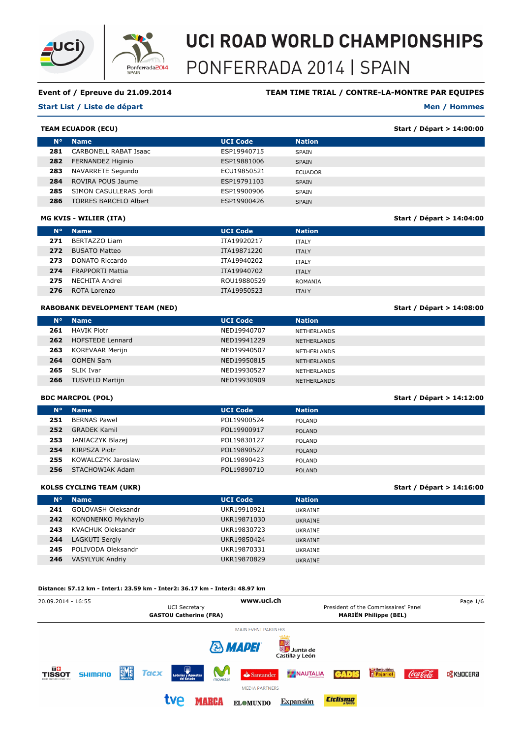



# **Event of / Epreuve du 21.09.2014**

# **TEAM TIME TRIAL / CONTRE-LA-MONTRE PAR EQUIPES**

#### **Start List / Liste de départ**

# **Men / Hommes**

**Start / Départ > 14:04:00**

**Start / Départ > 14:08:00**

**Start / Départ > 14:16:00**

|     | <b>TEAM ECUADOR (ECU)</b>    | Start / Départ > 14:00:00 |                |  |
|-----|------------------------------|---------------------------|----------------|--|
|     | $N^{\circ}$<br><b>Name</b>   | <b>UCI Code</b>           | <b>Nation</b>  |  |
| 281 | CARBONELL RABAT Isaac        | ESP19940715               | SPAIN          |  |
| 282 | FERNANDEZ Higinio            | ESP19881006               | <b>SPAIN</b>   |  |
| 283 | NAVARRETE Segundo            | ECU19850521               | <b>ECUADOR</b> |  |
| 284 | ROVIRA POUS Jaume            | ESP19791103               | <b>SPAIN</b>   |  |
| 285 | SIMON CASULLERAS Jordi       | ESP19900906               | SPAIN          |  |
| 286 | <b>TORRES BARCELO Albert</b> | ESP19900426               | <b>SPAIN</b>   |  |

# **MG KVIS - WILIER (ITA)**

| $N^{\circ}$ | <b>Name</b>             | <b>UCI Code</b> | <b>Nation</b> |
|-------------|-------------------------|-----------------|---------------|
| 271         | BERTAZZO Liam           | ITA19920217     | <b>ITALY</b>  |
| 272         | <b>BUSATO Matteo</b>    | ITA19871220     | <b>ITALY</b>  |
| 273         | DONATO Riccardo         | ITA19940202     | <b>ITALY</b>  |
| 274         | <b>FRAPPORTI Mattia</b> | ITA19940702     | <b>ITALY</b>  |
| 275         | NECHITA Andrei          | ROU19880529     | ROMANIA       |
| 276         | ROTA Lorenzo            | ITA19950523     | <b>ITALY</b>  |

## **RABOBANK DEVELOPMENT TEAM (NED)**

| $N^{\circ}$ | <b>Name</b>             | <b>UCI Code</b> | <b>Nation</b>      |
|-------------|-------------------------|-----------------|--------------------|
| 261         | <b>HAVIK Piotr</b>      | NED19940707     | NETHERLANDS        |
| 262         | <b>HOFSTEDE Lennard</b> | NED19941229     | <b>NETHERLANDS</b> |
| 263         | KOREVAAR Merijn         | NED19940507     | <b>NETHERLANDS</b> |
| 264         | <b>OOMEN Sam</b>        | NED19950815     | <b>NETHERLANDS</b> |
| 265         | SLIK Ivar               | NED19930527     | NETHERLANDS        |
| 266         | <b>TUSVELD Martijn</b>  | NED19930909     | <b>NETHERLANDS</b> |
|             |                         |                 |                    |

# **BDC MARCPOL (POL)**

|             | <b>BDC MARCPOL (POL)</b> |                 | Start / Départ > 14:12:00 |  |
|-------------|--------------------------|-----------------|---------------------------|--|
| $N^{\circ}$ | <b>Name</b>              | <b>UCI Code</b> | <b>Nation</b>             |  |
| 251         | <b>BERNAS Pawel</b>      | POL19900524     | POLAND                    |  |
| 252         | <b>GRADEK Kamil</b>      | POL19900917     | <b>POLAND</b>             |  |
| 253         | JANIACZYK Blazej         | POL19830127     | POLAND                    |  |
| 254         | KIRPSZA Piotr            | POL19890527     | <b>POLAND</b>             |  |
| 255         | KOWALCZYK Jaroslaw       | POL19890423     | POLAND                    |  |
| 256         | STACHOWIAK Adam          | POL19890710     | <b>POLAND</b>             |  |
|             |                          |                 |                           |  |

## **KOLSS CYCLING TEAM (UKR)**

| $N^{\circ}$ | <b>Name</b>            | <b>UCI Code</b> | <b>Nation</b>  |
|-------------|------------------------|-----------------|----------------|
| 241         | GOLOVASH Oleksandr     | UKR19910921     | UKRAINE        |
| 242         | KONONENKO Mykhaylo     | UKR19871030     | <b>UKRAINE</b> |
| 243         | KVACHUK Oleksandr      | UKR19830723     | UKRAINE        |
| 244         | LAGKUTI Sergiy         | UKR19850424     | <b>UKRAINE</b> |
| 245         | POLIVODA Oleksandr     | UKR19870331     | UKRAINE        |
| 246         | <b>VASYLYUK Andriy</b> | UKR19870829     | <b>UKRAINE</b> |

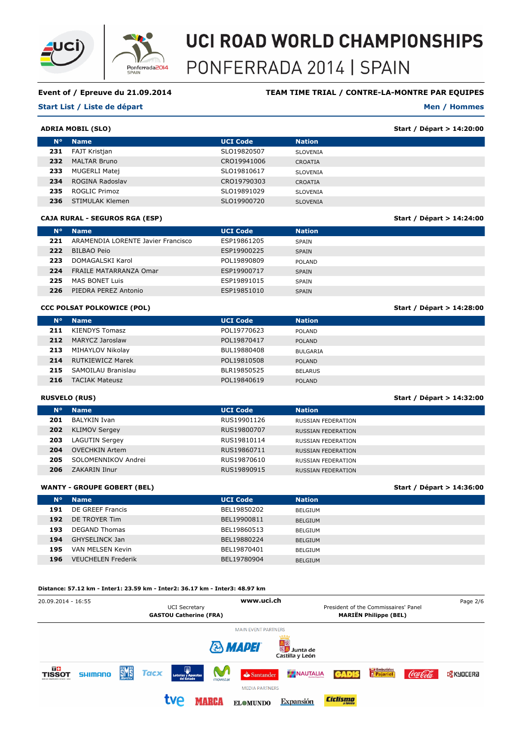

# **Event of / Epreuve du 21.09.2014**

# **TEAM TIME TRIAL / CONTRE-LA-MONTRE PAR EQUIPES**

#### **Start List / Liste de départ**

# **Men / Hommes**

**Start / Départ > 14:24:00**

**Start / Départ > 14:28:00**

**Start / Départ > 14:32:00**

**Start / Départ > 14:36:00**

|             | Start / Départ > 14:20:00<br><b>ADRIA MOBIL (SLO)</b> |                 |                 |  |  |
|-------------|-------------------------------------------------------|-----------------|-----------------|--|--|
| $N^{\circ}$ | <b>Name</b>                                           | <b>UCI Code</b> | <b>Nation</b>   |  |  |
| 231         | FAJT Kristjan                                         | SLO19820507     | SLOVENIA        |  |  |
| 232         | <b>MALTAR Bruno</b>                                   | CRO19941006     | <b>CROATIA</b>  |  |  |
| 233         | MUGERLI Matej                                         | SLO19810617     | <b>SLOVENIA</b> |  |  |
| 234         | ROGINA Radoslav                                       | CRO19790303     | CROATIA         |  |  |
| 235         | ROGLIC Primoz                                         | SLO19891029     | <b>SLOVENIA</b> |  |  |
| 236         | STIMULAK Klemen                                       | SLO19900720     | <b>SLOVENIA</b> |  |  |

#### **CAJA RURAL - SEGUROS RGA (ESP)**

| N۰  | <b>Name</b>                        | <b>UCI Code</b> | <b>Nation</b> |
|-----|------------------------------------|-----------------|---------------|
| 221 | ARAMENDIA LORENTE Javier Francisco | ESP19861205     | <b>SPAIN</b>  |
| 222 | <b>BILBAO Peio</b>                 | ESP19900225     | <b>SPAIN</b>  |
| 223 | DOMAGALSKI Karol                   | POL19890809     | <b>POLAND</b> |
| 224 | <b>FRAILE MATARRANZA Omar</b>      | ESP19900717     | <b>SPAIN</b>  |
| 225 | MAS BONET Luis                     | ESP19891015     | <b>SPAIN</b>  |
| 226 | PIEDRA PEREZ Antonio               | ESP19851010     | <b>SPAIN</b>  |

## **CCC POLSAT POLKOWICE (POL)**

| $N^{\circ}$ | <b>Name</b>             | <b>UCI Code</b> | <b>Nation</b>   |
|-------------|-------------------------|-----------------|-----------------|
| 211         | KIENDYS Tomasz          | POL19770623     | <b>POLAND</b>   |
| 212         | MARYCZ Jaroslaw         | POL19870417     | <b>POLAND</b>   |
| 213         | MIHAYLOV Nikolay        | BUL19880408     | <b>BULGARIA</b> |
| 214         | <b>RUTKIEWICZ Marek</b> | POL19810508     | <b>POLAND</b>   |
| 215         | SAMOILAU Branislau      | BLR19850525     | <b>BELARUS</b>  |
| 216         | <b>TACIAK Mateusz</b>   | POL19840619     | <b>POLAND</b>   |
|             |                         |                 |                 |

# **RUSVELO (RUS)**

| N۰  | <b>Name</b>           | <b>UCI Code</b> | <b>Nation</b>             |
|-----|-----------------------|-----------------|---------------------------|
| 201 | <b>BALYKIN Ivan</b>   | RUS19901126     | RUSSIAN FEDERATION        |
| 202 | <b>KLIMOV Sergey</b>  | RUS19800707     | <b>RUSSIAN FEDERATION</b> |
| 203 | <b>LAGUTIN Sergey</b> | RUS19810114     | RUSSIAN FEDERATION        |
| 204 | <b>OVECHKIN Artem</b> | RUS19860711     | <b>RUSSIAN FEDERATION</b> |
| 205 | SOLOMENNIKOV Andrei   | RUS19870610     | RUSSIAN FEDERATION        |
| 206 | ZAKARIN Ilnur         | RUS19890915     | RUSSIAN FEDERATION        |
|     |                       |                 |                           |

#### **WANTY - GROUPE GOBERT (BEL)**

| $N^{\circ}$ | <b>Name</b>               | <b>UCI Code</b> | <b>Nation</b>  |
|-------------|---------------------------|-----------------|----------------|
| 191         | DE GREEF Francis          | BEL19850202     | BELGIUM        |
|             |                           |                 |                |
| 192         | DE TROYER Tim             | BEL19900811     | <b>BELGIUM</b> |
| 193         | <b>DEGAND Thomas</b>      | BEL19860513     | <b>BELGIUM</b> |
| 194         | GHYSELINCK Jan            | BEL19880224     |                |
|             |                           |                 | <b>BELGIUM</b> |
| 195         | VAN MELSEN Kevin          | BEL19870401     | <b>BELGIUM</b> |
| 196         | <b>VEUCHELEN Frederik</b> | BEL19780904     | <b>BELGIUM</b> |
|             |                           |                 |                |

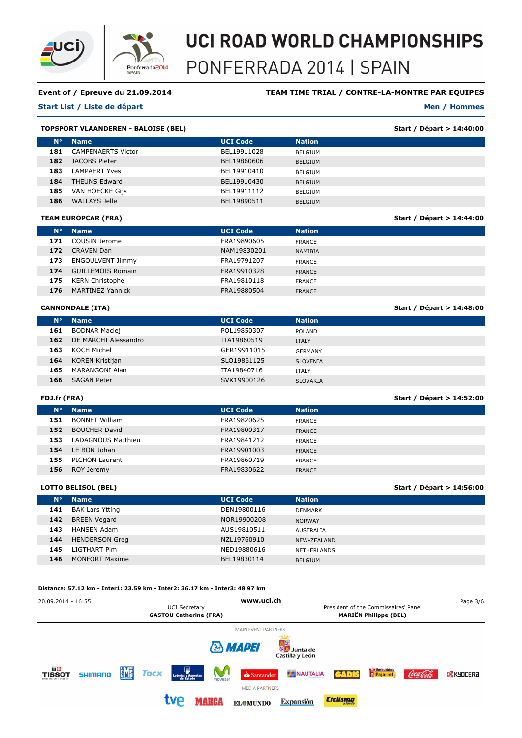

# **Event of / Epreuve du 21.09.2014**

# **Start List / Liste de départ**

# **TEAM TIME TRIAL / CONTRE-LA-MONTRE PAR EQUIPES**

#### **Men / Hommes**

**Start / Départ > 14:44:00**

**Start / Départ > 14:48:00**

**Start / Départ > 14:56:00**

|                | <b>TOPSPORT VLAANDEREN - BALOISE (BEL)</b> |                 |                | Start / Départ > 14:40:00 |
|----------------|--------------------------------------------|-----------------|----------------|---------------------------|
| N <sup>o</sup> | <b>Name</b>                                | <b>UCI Code</b> | <b>Nation</b>  |                           |
| 181            | <b>CAMPENAERTS Victor</b>                  | BEL19911028     | <b>BELGIUM</b> |                           |
| 182            | JACOBS Pieter                              | BEL19860606     | <b>BELGIUM</b> |                           |
| 183            | LAMPAERT Yves                              | BEL19910410     | <b>BELGIUM</b> |                           |
| 184            | <b>THEUNS Edward</b>                       | BEL19910430     | <b>BELGIUM</b> |                           |
| 185            | VAN HOECKE Gijs                            | BEL19911112     | <b>BELGIUM</b> |                           |
| 186            | WALLAYS Jelle                              | BEL19890511     | <b>BELGIUM</b> |                           |

#### **TEAM EUROPCAR (FRA)**

| $N^{\circ}$ | <b>Name</b>              | <b>UCI Code</b> | <b>Nation</b>  |
|-------------|--------------------------|-----------------|----------------|
| 171         | COUSIN Jerome            | FRA19890605     | FRANCE         |
| 172         | <b>CRAVEN Dan</b>        | NAM19830201     | <b>NAMIBIA</b> |
| 173         | <b>ENGOULVENT Jimmy</b>  | FRA19791207     | <b>FRANCE</b>  |
| 174         | <b>GUILLEMOIS Romain</b> | FRA19910328     | <b>FRANCE</b>  |
| 175         | <b>KERN Christophe</b>   | FRA19810118     | <b>FRANCE</b>  |
| 176         | <b>MARTINEZ Yannick</b>  | FRA19880504     | <b>FRANCE</b>  |

## **CANNONDALE (ITA)**

| $N^{\circ}$ | <b>Name</b>          | <b>UCI Code</b> | <b>Nation</b>   |
|-------------|----------------------|-----------------|-----------------|
| 161         | <b>BODNAR Maciej</b> | POL19850307     | POLAND          |
| 162         | DE MARCHI Alessandro | ITA19860519     | <b>ITALY</b>    |
| 163         | KOCH Michel          | GER19911015     | GERMANY         |
| 164         | KOREN Kristijan      | SLO19861125     | <b>SLOVENIA</b> |
| 165         | MARANGONI Alan       | ITA19840716     | <b>ITALY</b>    |
| 166         | <b>SAGAN Peter</b>   | SVK19900126     | <b>SLOVAKIA</b> |
|             |                      |                 |                 |

# **FDJ.fr (FRA)**

| FDJ.fr (FRA) |                       | Start / Départ > 14:52:00 |               |  |
|--------------|-----------------------|---------------------------|---------------|--|
| $N^{\circ}$  | <b>Name</b>           | <b>UCI Code</b>           | <b>Nation</b> |  |
| 151          | <b>BONNET William</b> | FRA19820625               | <b>FRANCE</b> |  |
| 152          | <b>BOUCHER David</b>  | FRA19800317               | <b>FRANCE</b> |  |
| 153          | LADAGNOUS Matthieu    | FRA19841212               | <b>FRANCE</b> |  |
| 154          | LE BON Johan          | FRA19901003               | <b>FRANCE</b> |  |
| 155          | PICHON Laurent        | FRA19860719               | <b>FRANCE</b> |  |
| 156          | ROY Jeremy            | FRA19830622               | <b>FRANCE</b> |  |
|              |                       |                           |               |  |

## **LOTTO BELISOL (BEL)**

| N۰  | <b>Name</b>            | <b>UCI Code</b> | <b>Nation</b>      |
|-----|------------------------|-----------------|--------------------|
| 141 | <b>BAK Lars Ytting</b> | DEN19800116     | DENMARK            |
| 142 | <b>BREEN Vegard</b>    | NOR19900208     | <b>NORWAY</b>      |
| 143 | <b>HANSEN Adam</b>     | AUS19810511     | AUSTRALIA          |
| 144 | <b>HENDERSON Greg</b>  | NZL19760910     | NEW-ZEALAND        |
| 145 | LIGTHART Pim           | NED19880616     | <b>NETHERLANDS</b> |
| 146 | <b>MONFORT Maxime</b>  | BEL19830114     | <b>BELGIUM</b>     |

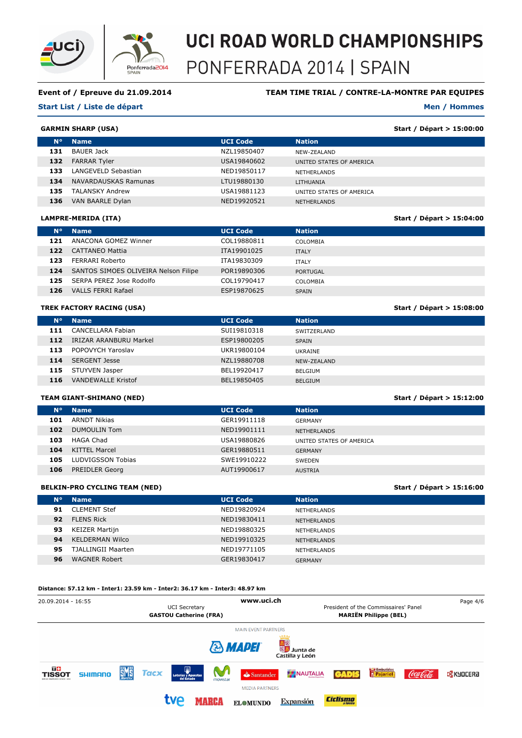

# **Event of / Epreuve du 21.09.2014**

#### **Start List / Liste de départ**

# **TEAM TIME TRIAL / CONTRE-LA-MONTRE PAR EQUIPES**

#### **Men / Hommes**

**Start / Départ > 15:04:00**

**Start / Départ > 15:08:00**

**Start / Départ > 15:12:00**

**Start / Départ > 15:16:00**

# **GARMIN SHARP (USA)**

|             | <b>IRMIN SHARP (USA)</b> | Start / Départ > 15:00:00 |                          |  |
|-------------|--------------------------|---------------------------|--------------------------|--|
| $N^{\circ}$ | <b>Name</b>              | <b>UCI Code</b>           | <b>Nation</b>            |  |
| 131         | <b>BAUER Jack</b>        | NZL19850407               | NEW-ZEALAND              |  |
| 132         | <b>FARRAR Tyler</b>      | USA19840602               | UNITED STATES OF AMERICA |  |
| 133         | LANGEVELD Sebastian      | NED19850117               | <b>NETHERLANDS</b>       |  |
| 134         | NAVARDAUSKAS Ramunas     | LTU19880130               | LITHUANIA                |  |
| 135         | <b>TALANSKY Andrew</b>   | USA19881123               | UNITED STATES OF AMERICA |  |
| 136         | VAN BAARLE Dylan         | NED19920521               | <b>NETHERLANDS</b>       |  |

#### **LAMPRE-MERIDA (ITA)**

| $N^{\circ}$ | <b>Name</b>                          | <b>UCI Code</b> | <b>Nation</b>   |
|-------------|--------------------------------------|-----------------|-----------------|
| 121         | ANACONA GOMEZ Winner                 | COL19880811     | COLOMBIA        |
| 122         | <b>CATTANEO Mattia</b>               | ITA19901025     | <b>ITALY</b>    |
| 123         | FERRARI Roberto                      | ITA19830309     | <b>ITALY</b>    |
| 124         | SANTOS SIMOES OLIVEIRA Nelson Filipe | POR19890306     | <b>PORTUGAL</b> |
| 125         | SERPA PEREZ Jose Rodolfo             | COL19790417     | COLOMBIA        |
| 126         | <b>VALLS FERRI Rafael</b>            | ESP19870625     | <b>SPAIN</b>    |
|             |                                      |                 |                 |

## **TREK FACTORY RACING (USA)**

| $N^{\circ}$ | <b>Name</b>               | <b>UCI Code</b> | <b>Nation</b>  |
|-------------|---------------------------|-----------------|----------------|
| 111         | CANCELLARA Fabian         | SUI19810318     | SWITZERLAND    |
| 112         | IRIZAR ARANBURU Markel    | ESP19800205     | <b>SPAIN</b>   |
| 113         | POPOVYCH Yaroslav         | UKR19800104     | UKRAINE        |
| 114         | <b>SERGENT Jesse</b>      | NZL19880708     | NEW-ZEALAND    |
| 115         | STUYVEN Jasper            | BEL19920417     | <b>BELGIUM</b> |
| 116         | <b>VANDEWALLE Kristof</b> | BEL19850405     | <b>BELGIUM</b> |
|             |                           |                 |                |

# **TEAM GIANT-SHIMANO (NED)**

| $N^{\circ}$ | <b>Name</b>           | <b>UCI Code</b> | <b>Nation</b>            |
|-------------|-----------------------|-----------------|--------------------------|
| 101         | <b>ARNDT Nikias</b>   | GER19911118     | GERMANY                  |
| 102         | DUMOULIN Tom          | NED19901111     | <b>NETHERLANDS</b>       |
| 103         | <b>HAGA Chad</b>      | USA19880826     | UNITED STATES OF AMERICA |
| 104         | KITTEL Marcel         | GER19880511     | <b>GERMANY</b>           |
| 105         | LUDVIGSSON Tobias     | SWE19910222     | <b>SWEDEN</b>            |
| 106         | <b>PREIDLER Georg</b> | AUT19900617     | <b>AUSTRIA</b>           |
|             |                       |                 |                          |

## **BELKIN-PRO CYCLING TEAM (NED)**

| N <sup>o</sup> | <b>Name</b>            | <b>UCI Code</b> | <b>Nation</b>      |
|----------------|------------------------|-----------------|--------------------|
| 91             | <b>CLEMENT Stef</b>    | NED19820924     | <b>NETHERLANDS</b> |
| 92             | <b>FLENS Rick</b>      | NED19830411     | NETHERLANDS        |
| 93             | <b>KEIZER Martijn</b>  | NED19880325     | <b>NETHERLANDS</b> |
| 94             | <b>KELDERMAN Wilco</b> | NED19910325     | <b>NETHERLANDS</b> |
| 95             | TJALLINGII Maarten     | NED19771105     | <b>NETHERLANDS</b> |
| 96             | <b>WAGNER Robert</b>   | GER19830417     | <b>GERMANY</b>     |

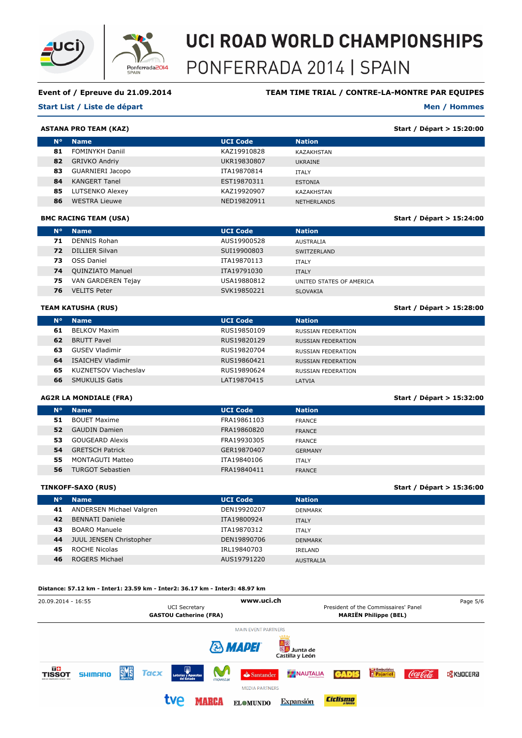

# **Event of / Epreuve du 21.09.2014**

# **Start List / Liste de départ**

# **TEAM TIME TRIAL / CONTRE-LA-MONTRE PAR EQUIPES**

#### **Men / Hommes**

**Start / Départ > 15:24:00**

**Start / Départ > 15:28:00**

**Start / Départ > 15:36:00**

# **ASTANA PRO TEAM (KAZ)**

| Start / Départ > 15:20:00<br><b>ASTANA PRO TEAM (KAZ)</b> |                        |                 |                   |  |
|-----------------------------------------------------------|------------------------|-----------------|-------------------|--|
| N۰                                                        | <b>Name</b>            | <b>UCI Code</b> | <b>Nation</b>     |  |
| 81                                                        | <b>FOMINYKH Daniil</b> | KAZ19910828     | <b>KAZAKHSTAN</b> |  |
| 82                                                        | <b>GRIVKO Andriy</b>   | UKR19830807     | UKRAINE           |  |
| 83                                                        | GUARNIERI Jacopo       | ITA19870814     | <b>ITALY</b>      |  |
| 84                                                        | <b>KANGERT Tanel</b>   | EST19870311     | <b>ESTONIA</b>    |  |
| 85                                                        | LUTSENKO Alexey        | KAZ19920907     | KAZAKHSTAN        |  |
| 86                                                        | <b>WESTRA Lieuwe</b>   | NED19820911     | NETHERLANDS       |  |

## **BMC RACING TEAM (USA)**

| <b>N°</b> | <b>Name</b>             | <b>UCI Code</b> | <b>Nation</b>            |
|-----------|-------------------------|-----------------|--------------------------|
| 71        | DENNIS Rohan            | AUS19900528     | AUSTRALIA                |
| 72        | DILLIER Silvan          | SUI19900803     | SWITZERLAND              |
| 73.       | OSS Daniel              | ITA19870113     | <b>ITALY</b>             |
| 74        | <b>QUINZIATO Manuel</b> | ITA19791030     | <b>ITALY</b>             |
| 75        | VAN GARDEREN Tejay      | USA19880812     | UNITED STATES OF AMERICA |
| 76        | <b>VELITS Peter</b>     | SVK19850221     | <b>SLOVAKIA</b>          |
|           |                         |                 |                          |

## **TEAM KATUSHA (RUS)**

| N <sup>o</sup> | <b>Name</b>              | <b>UCI Code</b> | <b>Nation</b>      |
|----------------|--------------------------|-----------------|--------------------|
| 61             | <b>BELKOV Maxim</b>      | RUS19850109     | RUSSIAN FEDERATION |
| 62             | <b>BRUTT Pavel</b>       | RUS19820129     | RUSSIAN FEDERATION |
| 63             | GUSEV Vladimir           | RUS19820704     | RUSSIAN FEDERATION |
| 64             | <b>ISAICHEV Vladimir</b> | RUS19860421     | RUSSIAN FEDERATION |
| 65             | KUZNETSOV Viacheslav     | RUS19890624     | RUSSIAN FEDERATION |
| 66             | <b>SMUKULIS Gatis</b>    | LAT19870415     | LATVIA             |

# **AG2R LA MONDIALE (FRA)**

|                | <b>AG2R LA MONDIALE (FRA)</b> | Start / Départ > 15:32:00 |                |  |
|----------------|-------------------------------|---------------------------|----------------|--|
| N <sup>o</sup> | <b>Name</b>                   | <b>UCI Code</b>           | <b>Nation</b>  |  |
| 51             | <b>BOUET Maxime</b>           | FRA19861103               | <b>FRANCE</b>  |  |
| 52             | <b>GAUDIN Damien</b>          | FRA19860820               | <b>FRANCE</b>  |  |
| 53             | GOUGEARD Alexis               | FRA19930305               | FRANCE         |  |
| 54             | <b>GRETSCH Patrick</b>        | GER19870407               | <b>GERMANY</b> |  |
| 55             | MONTAGUTI Matteo              | ITA19840106               | <b>ITALY</b>   |  |
| 56             | <b>TURGOT Sebastien</b>       | FRA19840411               | <b>FRANCE</b>  |  |
|                |                               |                           |                |  |

## **TINKOFF-SAXO (RUS)**

| N°. | <b>Name</b>              | <b>UCI Code</b> | <b>Nation</b>    |
|-----|--------------------------|-----------------|------------------|
| 41  | ANDERSEN Michael Valgren | DEN19920207     | DENMARK          |
| 42  | <b>BENNATI Daniele</b>   | ITA19800924     | <b>ITALY</b>     |
| 43  | <b>BOARO Manuele</b>     | ITA19870312     | <b>ITALY</b>     |
| 44  | JUUL JENSEN Christopher  | DEN19890706     | <b>DENMARK</b>   |
| 45  | ROCHE Nicolas            | IRL19840703     | IRELAND          |
| 46  | ROGERS Michael           | AUS19791220     | <b>AUSTRALIA</b> |
|     |                          |                 |                  |